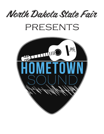North Dakota State Fair

## PRESENTS

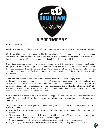

**Entry Fees:** No entry fees.

**Deadline:** Application and audition must be submitted by **May 31, 2022 at 11:59PM.** (See Below for Details.)

**Eligibility:** This competition is sanctioned by the North Dakota State Fair and open to non-signed competitors who wish to showcase their musical talents. Only musical talent will be considered. Participants may have an agent, however, if participant has a record deal, they will be disqualified.

**Guidelines:** Maximum of five people per band. Will perform with the equipment provided by the NDSF. Equipment includes, drums, amps, microphones. Must bring own guitars, and keyboard if needed. **No one but band members will be allowed back stage. (Up to 5 band members only.)** All finalists will need to pay their own gate admission. All finalists will receive 10 complimentary ticket to the Wednesday night grandstand show.

**Timeline:** Once submitted, the video will be reviewed by the NDSF Talent Judging Team. You will receive confirmation if you made it into the top 5 finalists by Wednesday, June 15. A runner up will be selected to perform in case of an immediate drop out by a finalist. From there, ALL FINALISTS must get ready to perform on the biggest stage in North Dakota as the opening Grandstand act on Wednesday, July 27, for artist Will Banister. Once all finalists have performed, The NDSF Talent Judging Team will then immediately choose a winner of the competition who will receive \$2,000.

**How to submit an audition:** Competitors submit their application and YouTube video audition through the ndsf@minot.com e-mail OR by filling out the online application process located at ndstatefair.com/hometown-sound/

Singing must be done either acapella or with live accompaniment. **NO KARAOKE/BACKING TRACKS WILL BE ALLOWED.** 

- Group videos must be the group performing on song, with optional introduction of the song no other talking.
- Singing must be live. No pre-recorded singing in the video. No filters. Videos must be a continuous shot and unedited. Videos should not be paused or spliced together.
- Competitors may wear the attire of their choice; however, all attire must be appropriate.
- A great stage performance is often an advantage to a competitor and they will be judged on this.

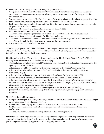- Please submit a full song, not just clip or clips of pieces of songs.
- Complete all information fields in the entry form with details about the competitor, not the parent or guardian. If you are entering as a group, please put the main contact person for the group in the information fields.
- You may submit your video via YouTube link, Jump Drive (drop off at the ndsf office), or google drive link.
- Please ensure that your settings are public on all platforms so we are able to view.
- Each competitor may submit only one audition video. Submitting more than one audition may result in disqualification of the competitor.
- Selection of the Final Five will take place from June 1 June 15, 2022.
- **• NO LATE SUBMISSIONS WILL BE ACCEPTED.**
- The Final Round of judging of the top five finalists will be held on the North Dakota State Fair Grandstand Stage as the opening act for Will Banister on July 27.
- The announcement of the winner will take place on the Grandstand Stage before Will Banister takes the stage. We will ask all five finalists to come on stage for the announcement.
- A \$2,000 check will be handed to the winner.

\*\*One Entry per person. ALL COMPETITORS submitting online entries for the Audition agree to the terms of the North Dakota State Fair Release of Liability and Indemnification Agreement. The North Dakota State Fair will receive all rights to all videos submitted.

**Final Round of Judging:** The top five performers as determined by the North Dakota State Fair Talent Judging Team, will advance to the final round of judging.

- The final round of Judging will be held Wednesday, July 27, at the North Dakota State Fairgrounds as the opening act for Will Banister.
- All competitors will be required to purchase gate admission to the North Dakota State Fair.
- All competitors who will require sound check will need to be at the Grandstand by 2:00PM on Wednesday, July 27.
- All competitors will need to report backstage of the Grandstand for the show by 6:00PM.
- No one but band members will be allowed back stage. (maximum of 5 band members.)
- All competitors who advance to the final round will be required to provide a W-9 and social security number. The cash award will be made out to the primary contact. The group is responsible for equitable distribution of the cash award amongst its members.
- Each competitor will get 20 minutes on stage to perform for the final round of judging.
- Judges will individually score each competitor based on performance, crowd engagement, and music selection.

## **Music Selection and Equipment:**

- Competitors may perform a song from the genre of their choice. Remember, competitors are being judged on crowd engagement, and music selection.
- Contestants should be prepared to perform acapella, in case of any technical difficulties.
- Backline will be provided for individuals or groups who wish to use instruments during their performance.
- The show reserved the right to end any performance it deem inappropriate.

**Performance:** A great stage performance will be a part of the judging, however, all performances must be appropriate for a family show. The show reserves the right to cancel the performance of any competitor performing in an excessively suggestive or other inappropriate manner.

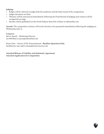## **Judging:**

- Judges will be selected to judge both the auditions and the final round of the competition.
- Judges decisions are final.
- Winners will be announced immediately following the Final Round of Judging and winners will be recognized on stage.
- Results will be published on the North Dakota State Fair website at ndstatefair.com

**Awards:** The competition winners will receive \$2,000 to be presented immediately following the judging on Wednesday, July 27.

**Contacts:**  JaCee Aaseth – Marketing Director 701-818-8605 or jacee@ndstatefair.com

Dean Clott – Owner of DC Entertainment - **Backline Questions Only** backline701-240-7148 or dean@dcentconcerts.com

**Attached Release of Liability and Indemnity Agreement Attached Application for Competition**